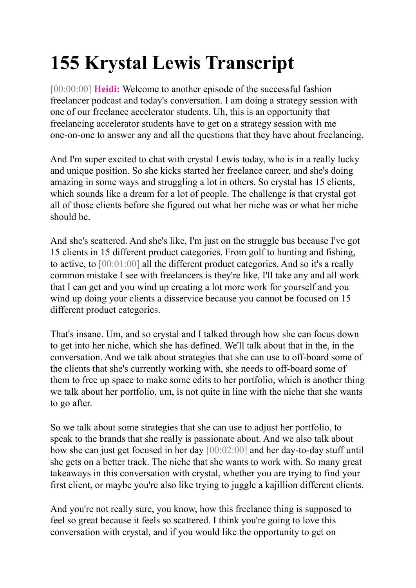# **155 Krystal Lewis Transcript**

[00:00:00] **Heidi:** Welcome to another episode of the successful fashion freelancer podcast and today's conversation. I am doing a strategy session with one of our freelance accelerator students. Uh, this is an opportunity that freelancing accelerator students have to get on a strategy session with me one-on-one to answer any and all the questions that they have about freelancing.

And I'm super excited to chat with crystal Lewis today, who is in a really lucky and unique position. So she kicks started her freelance career, and she's doing amazing in some ways and struggling a lot in others. So crystal has 15 clients, which sounds like a dream for a lot of people. The challenge is that crystal got all of those clients before she figured out what her niche was or what her niche should be.

And she's scattered. And she's like, I'm just on the struggle bus because I've got 15 clients in 15 different product categories. From golf to hunting and fishing, to active, to [00:01:00] all the different product categories. And so it's a really common mistake I see with freelancers is they're like, I'll take any and all work that I can get and you wind up creating a lot more work for yourself and you wind up doing your clients a disservice because you cannot be focused on 15 different product categories.

That's insane. Um, and so crystal and I talked through how she can focus down to get into her niche, which she has defined. We'll talk about that in the, in the conversation. And we talk about strategies that she can use to off-board some of the clients that she's currently working with, she needs to off-board some of them to free up space to make some edits to her portfolio, which is another thing we talk about her portfolio, um, is not quite in line with the niche that she wants to go after.

So we talk about some strategies that she can use to adjust her portfolio, to speak to the brands that she really is passionate about. And we also talk about how she can just get focused in her day [00:02:00] and her day-to-day stuff until she gets on a better track. The niche that she wants to work with. So many great takeaways in this conversation with crystal, whether you are trying to find your first client, or maybe you're also like trying to juggle a kajillion different clients.

And you're not really sure, you know, how this freelance thing is supposed to feel so great because it feels so scattered. I think you're going to love this conversation with crystal, and if you would like the opportunity to get on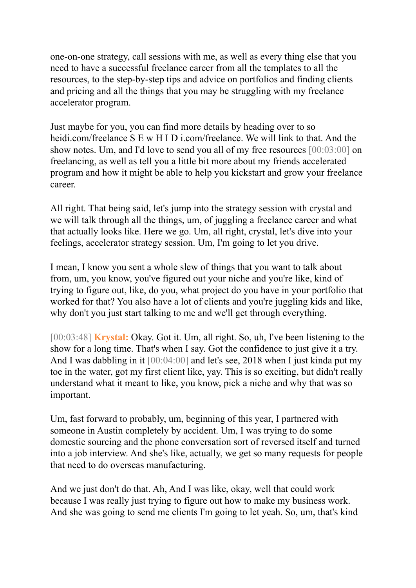one-on-one strategy, call sessions with me, as well as every thing else that you need to have a successful freelance career from all the templates to all the resources, to the step-by-step tips and advice on portfolios and finding clients and pricing and all the things that you may be struggling with my freelance accelerator program.

Just maybe for you, you can find more details by heading over to so heidi.com/freelance S E w H I D i.com/freelance. We will link to that. And the show notes. Um, and I'd love to send you all of my free resources [00:03:00] on freelancing, as well as tell you a little bit more about my friends accelerated program and how it might be able to help you kickstart and grow your freelance career.

All right. That being said, let's jump into the strategy session with crystal and we will talk through all the things, um, of juggling a freelance career and what that actually looks like. Here we go. Um, all right, crystal, let's dive into your feelings, accelerator strategy session. Um, I'm going to let you drive.

I mean, I know you sent a whole slew of things that you want to talk about from, um, you know, you've figured out your niche and you're like, kind of trying to figure out, like, do you, what project do you have in your portfolio that worked for that? You also have a lot of clients and you're juggling kids and like, why don't you just start talking to me and we'll get through everything.

[00:03:48] **Krystal:** Okay. Got it. Um, all right. So, uh, I've been listening to the show for a long time. That's when I say. Got the confidence to just give it a try. And I was dabbling in it [00:04:00] and let's see, 2018 when I just kinda put my toe in the water, got my first client like, yay. This is so exciting, but didn't really understand what it meant to like, you know, pick a niche and why that was so important.

Um, fast forward to probably, um, beginning of this year, I partnered with someone in Austin completely by accident. Um, I was trying to do some domestic sourcing and the phone conversation sort of reversed itself and turned into a job interview. And she's like, actually, we get so many requests for people that need to do overseas manufacturing.

And we just don't do that. Ah, And I was like, okay, well that could work because I was really just trying to figure out how to make my business work. And she was going to send me clients I'm going to let yeah. So, um, that's kind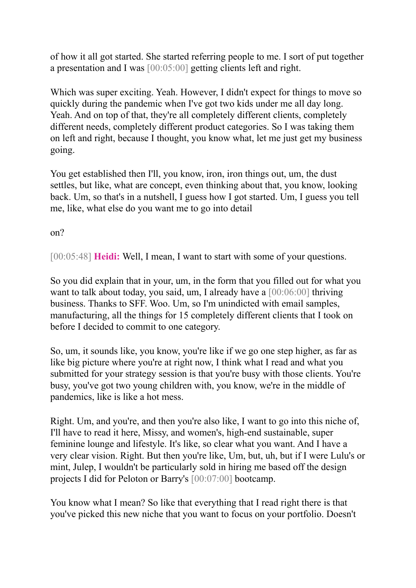of how it all got started. She started referring people to me. I sort of put together a presentation and I was [00:05:00] getting clients left and right.

Which was super exciting. Yeah. However, I didn't expect for things to move so quickly during the pandemic when I've got two kids under me all day long. Yeah. And on top of that, they're all completely different clients, completely different needs, completely different product categories. So I was taking them on left and right, because I thought, you know what, let me just get my business going.

You get established then I'll, you know, iron, iron things out, um, the dust settles, but like, what are concept, even thinking about that, you know, looking back. Um, so that's in a nutshell, I guess how I got started. Um, I guess you tell me, like, what else do you want me to go into detail

on?

[00:05:48] **Heidi:** Well, I mean, I want to start with some of your questions.

So you did explain that in your, um, in the form that you filled out for what you want to talk about today, you said, um, I already have a [00:06:00] thriving business. Thanks to SFF. Woo. Um, so I'm unindicted with email samples, manufacturing, all the things for 15 completely different clients that I took on before I decided to commit to one category.

So, um, it sounds like, you know, you're like if we go one step higher, as far as like big picture where you're at right now, I think what I read and what you submitted for your strategy session is that you're busy with those clients. You're busy, you've got two young children with, you know, we're in the middle of pandemics, like is like a hot mess.

Right. Um, and you're, and then you're also like, I want to go into this niche of, I'll have to read it here, Missy, and women's, high-end sustainable, super feminine lounge and lifestyle. It's like, so clear what you want. And I have a very clear vision. Right. But then you're like, Um, but, uh, but if I were Lulu's or mint, Julep, I wouldn't be particularly sold in hiring me based off the design projects I did for Peloton or Barry's [00:07:00] bootcamp.

You know what I mean? So like that everything that I read right there is that you've picked this new niche that you want to focus on your portfolio. Doesn't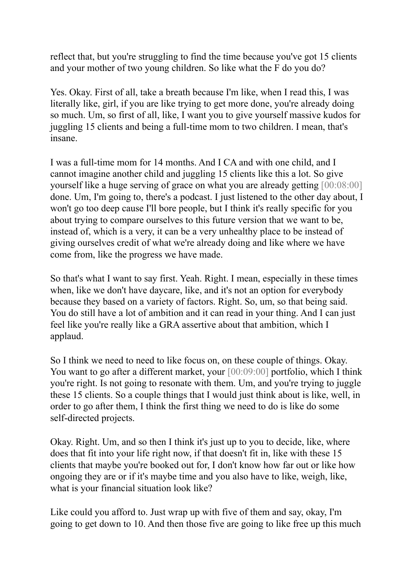reflect that, but you're struggling to find the time because you've got 15 clients and your mother of two young children. So like what the F do you do?

Yes. Okay. First of all, take a breath because I'm like, when I read this, I was literally like, girl, if you are like trying to get more done, you're already doing so much. Um, so first of all, like, I want you to give yourself massive kudos for juggling 15 clients and being a full-time mom to two children. I mean, that's insane.

I was a full-time mom for 14 months. And I CA and with one child, and I cannot imagine another child and juggling 15 clients like this a lot. So give yourself like a huge serving of grace on what you are already getting [00:08:00] done. Um, I'm going to, there's a podcast. I just listened to the other day about, I won't go too deep cause I'll bore people, but I think it's really specific for you about trying to compare ourselves to this future version that we want to be, instead of, which is a very, it can be a very unhealthy place to be instead of giving ourselves credit of what we're already doing and like where we have come from, like the progress we have made.

So that's what I want to say first. Yeah. Right. I mean, especially in these times when, like we don't have daycare, like, and it's not an option for everybody because they based on a variety of factors. Right. So, um, so that being said. You do still have a lot of ambition and it can read in your thing. And I can just feel like you're really like a GRA assertive about that ambition, which I applaud.

So I think we need to need to like focus on, on these couple of things. Okay. You want to go after a different market, your [00:09:00] portfolio, which I think you're right. Is not going to resonate with them. Um, and you're trying to juggle these 15 clients. So a couple things that I would just think about is like, well, in order to go after them, I think the first thing we need to do is like do some self-directed projects.

Okay. Right. Um, and so then I think it's just up to you to decide, like, where does that fit into your life right now, if that doesn't fit in, like with these 15 clients that maybe you're booked out for, I don't know how far out or like how ongoing they are or if it's maybe time and you also have to like, weigh, like, what is your financial situation look like?

Like could you afford to. Just wrap up with five of them and say, okay, I'm going to get down to 10. And then those five are going to like free up this much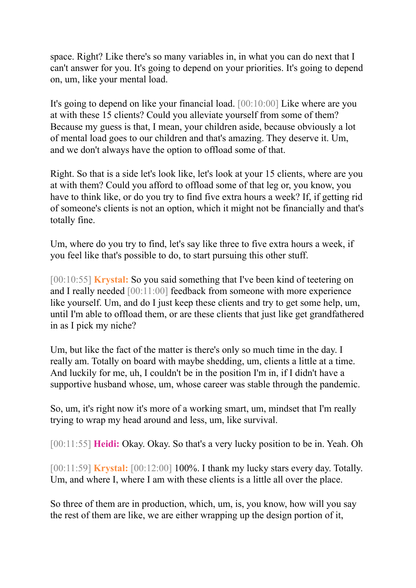space. Right? Like there's so many variables in, in what you can do next that I can't answer for you. It's going to depend on your priorities. It's going to depend on, um, like your mental load.

It's going to depend on like your financial load. [00:10:00] Like where are you at with these 15 clients? Could you alleviate yourself from some of them? Because my guess is that, I mean, your children aside, because obviously a lot of mental load goes to our children and that's amazing. They deserve it. Um, and we don't always have the option to offload some of that.

Right. So that is a side let's look like, let's look at your 15 clients, where are you at with them? Could you afford to offload some of that leg or, you know, you have to think like, or do you try to find five extra hours a week? If, if getting rid of someone's clients is not an option, which it might not be financially and that's totally fine.

Um, where do you try to find, let's say like three to five extra hours a week, if you feel like that's possible to do, to start pursuing this other stuff.

[00:10:55] **Krystal:** So you said something that I've been kind of teetering on and I really needed [00:11:00] feedback from someone with more experience like yourself. Um, and do I just keep these clients and try to get some help, um, until I'm able to offload them, or are these clients that just like get grandfathered in as I pick my niche?

Um, but like the fact of the matter is there's only so much time in the day. I really am. Totally on board with maybe shedding, um, clients a little at a time. And luckily for me, uh, I couldn't be in the position I'm in, if I didn't have a supportive husband whose, um, whose career was stable through the pandemic.

So, um, it's right now it's more of a working smart, um, mindset that I'm really trying to wrap my head around and less, um, like survival.

[00:11:55] **Heidi:** Okay. Okay. So that's a very lucky position to be in. Yeah. Oh

[00:11:59] **Krystal:** [00:12:00] 100%. I thank my lucky stars every day. Totally. Um, and where I, where I am with these clients is a little all over the place.

So three of them are in production, which, um, is, you know, how will you say the rest of them are like, we are either wrapping up the design portion of it,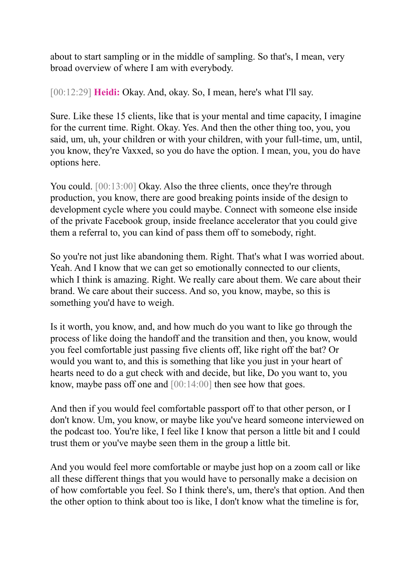about to start sampling or in the middle of sampling. So that's, I mean, very broad overview of where I am with everybody.

[00:12:29] **Heidi:** Okay. And, okay. So, I mean, here's what I'll say.

Sure. Like these 15 clients, like that is your mental and time capacity, I imagine for the current time. Right. Okay. Yes. And then the other thing too, you, you said, um, uh, your children or with your children, with your full-time, um, until, you know, they're Vaxxed, so you do have the option. I mean, you, you do have options here.

You could. [00:13:00] Okay. Also the three clients, once they're through production, you know, there are good breaking points inside of the design to development cycle where you could maybe. Connect with someone else inside of the private Facebook group, inside freelance accelerator that you could give them a referral to, you can kind of pass them off to somebody, right.

So you're not just like abandoning them. Right. That's what I was worried about. Yeah. And I know that we can get so emotionally connected to our clients, which I think is amazing. Right. We really care about them. We care about their brand. We care about their success. And so, you know, maybe, so this is something you'd have to weigh.

Is it worth, you know, and, and how much do you want to like go through the process of like doing the handoff and the transition and then, you know, would you feel comfortable just passing five clients off, like right off the bat? Or would you want to, and this is something that like you just in your heart of hearts need to do a gut check with and decide, but like, Do you want to, you know, maybe pass off one and [00:14:00] then see how that goes.

And then if you would feel comfortable passport off to that other person, or I don't know. Um, you know, or maybe like you've heard someone interviewed on the podcast too. You're like, I feel like I know that person a little bit and I could trust them or you've maybe seen them in the group a little bit.

And you would feel more comfortable or maybe just hop on a zoom call or like all these different things that you would have to personally make a decision on of how comfortable you feel. So I think there's, um, there's that option. And then the other option to think about too is like, I don't know what the timeline is for,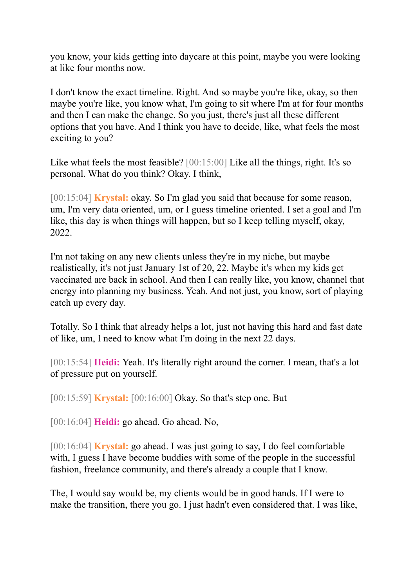you know, your kids getting into daycare at this point, maybe you were looking at like four months now.

I don't know the exact timeline. Right. And so maybe you're like, okay, so then maybe you're like, you know what, I'm going to sit where I'm at for four months and then I can make the change. So you just, there's just all these different options that you have. And I think you have to decide, like, what feels the most exciting to you?

Like what feels the most feasible? [00:15:00] Like all the things, right. It's so personal. What do you think? Okay. I think,

[00:15:04] **Krystal:** okay. So I'm glad you said that because for some reason, um, I'm very data oriented, um, or I guess timeline oriented. I set a goal and I'm like, this day is when things will happen, but so I keep telling myself, okay, 2022.

I'm not taking on any new clients unless they're in my niche, but maybe realistically, it's not just January 1st of 20, 22. Maybe it's when my kids get vaccinated are back in school. And then I can really like, you know, channel that energy into planning my business. Yeah. And not just, you know, sort of playing catch up every day.

Totally. So I think that already helps a lot, just not having this hard and fast date of like, um, I need to know what I'm doing in the next 22 days.

[00:15:54] **Heidi:** Yeah. It's literally right around the corner. I mean, that's a lot of pressure put on yourself.

[00:15:59] **Krystal:** [00:16:00] Okay. So that's step one. But

[00:16:04] **Heidi:** go ahead. Go ahead. No,

[00:16:04] **Krystal:** go ahead. I was just going to say, I do feel comfortable with, I guess I have become buddies with some of the people in the successful fashion, freelance community, and there's already a couple that I know.

The, I would say would be, my clients would be in good hands. If I were to make the transition, there you go. I just hadn't even considered that. I was like,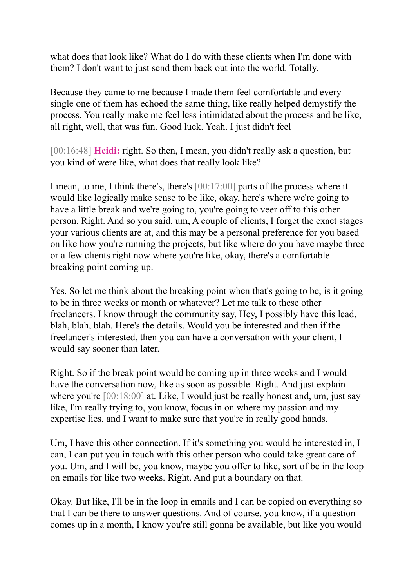what does that look like? What do I do with these clients when I'm done with them? I don't want to just send them back out into the world. Totally.

Because they came to me because I made them feel comfortable and every single one of them has echoed the same thing, like really helped demystify the process. You really make me feel less intimidated about the process and be like, all right, well, that was fun. Good luck. Yeah. I just didn't feel

[00:16:48] **Heidi:** right. So then, I mean, you didn't really ask a question, but you kind of were like, what does that really look like?

I mean, to me, I think there's, there's [00:17:00] parts of the process where it would like logically make sense to be like, okay, here's where we're going to have a little break and we're going to, you're going to veer off to this other person. Right. And so you said, um, A couple of clients, I forget the exact stages your various clients are at, and this may be a personal preference for you based on like how you're running the projects, but like where do you have maybe three or a few clients right now where you're like, okay, there's a comfortable breaking point coming up.

Yes. So let me think about the breaking point when that's going to be, is it going to be in three weeks or month or whatever? Let me talk to these other freelancers. I know through the community say, Hey, I possibly have this lead, blah, blah, blah. Here's the details. Would you be interested and then if the freelancer's interested, then you can have a conversation with your client, I would say sooner than later.

Right. So if the break point would be coming up in three weeks and I would have the conversation now, like as soon as possible. Right. And just explain where you're [00:18:00] at. Like, I would just be really honest and, um, just say like, I'm really trying to, you know, focus in on where my passion and my expertise lies, and I want to make sure that you're in really good hands.

Um, I have this other connection. If it's something you would be interested in, I can, I can put you in touch with this other person who could take great care of you. Um, and I will be, you know, maybe you offer to like, sort of be in the loop on emails for like two weeks. Right. And put a boundary on that.

Okay. But like, I'll be in the loop in emails and I can be copied on everything so that I can be there to answer questions. And of course, you know, if a question comes up in a month, I know you're still gonna be available, but like you would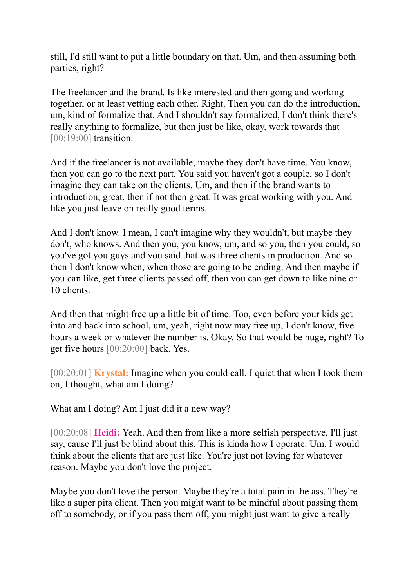still, I'd still want to put a little boundary on that. Um, and then assuming both parties, right?

The freelancer and the brand. Is like interested and then going and working together, or at least vetting each other. Right. Then you can do the introduction, um, kind of formalize that. And I shouldn't say formalized, I don't think there's really anything to formalize, but then just be like, okay, work towards that [00:19:00] transition.

And if the freelancer is not available, maybe they don't have time. You know, then you can go to the next part. You said you haven't got a couple, so I don't imagine they can take on the clients. Um, and then if the brand wants to introduction, great, then if not then great. It was great working with you. And like you just leave on really good terms.

And I don't know. I mean, I can't imagine why they wouldn't, but maybe they don't, who knows. And then you, you know, um, and so you, then you could, so you've got you guys and you said that was three clients in production. And so then I don't know when, when those are going to be ending. And then maybe if you can like, get three clients passed off, then you can get down to like nine or 10 clients.

And then that might free up a little bit of time. Too, even before your kids get into and back into school, um, yeah, right now may free up, I don't know, five hours a week or whatever the number is. Okay. So that would be huge, right? To get five hours [00:20:00] back. Yes.

[00:20:01] **Krystal:** Imagine when you could call, I quiet that when I took them on, I thought, what am I doing?

What am I doing? Am I just did it a new way?

[00:20:08] **Heidi:** Yeah. And then from like a more selfish perspective, I'll just say, cause I'll just be blind about this. This is kinda how I operate. Um, I would think about the clients that are just like. You're just not loving for whatever reason. Maybe you don't love the project.

Maybe you don't love the person. Maybe they're a total pain in the ass. They're like a super pita client. Then you might want to be mindful about passing them off to somebody, or if you pass them off, you might just want to give a really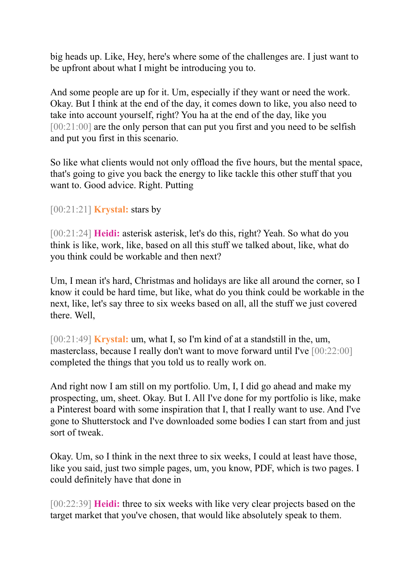big heads up. Like, Hey, here's where some of the challenges are. I just want to be upfront about what I might be introducing you to.

And some people are up for it. Um, especially if they want or need the work. Okay. But I think at the end of the day, it comes down to like, you also need to take into account yourself, right? You ha at the end of the day, like you [00:21:00] are the only person that can put you first and you need to be selfish and put you first in this scenario.

So like what clients would not only offload the five hours, but the mental space, that's going to give you back the energy to like tackle this other stuff that you want to. Good advice. Right. Putting

# [00:21:21] **Krystal:** stars by

[00:21:24] **Heidi:** asterisk asterisk, let's do this, right? Yeah. So what do you think is like, work, like, based on all this stuff we talked about, like, what do you think could be workable and then next?

Um, I mean it's hard, Christmas and holidays are like all around the corner, so I know it could be hard time, but like, what do you think could be workable in the next, like, let's say three to six weeks based on all, all the stuff we just covered there. Well,

[00:21:49] **Krystal:** um, what I, so I'm kind of at a standstill in the, um, masterclass, because I really don't want to move forward until I've [00:22:00] completed the things that you told us to really work on.

And right now I am still on my portfolio. Um, I, I did go ahead and make my prospecting, um, sheet. Okay. But I. All I've done for my portfolio is like, make a Pinterest board with some inspiration that I, that I really want to use. And I've gone to Shutterstock and I've downloaded some bodies I can start from and just sort of tweak.

Okay. Um, so I think in the next three to six weeks, I could at least have those, like you said, just two simple pages, um, you know, PDF, which is two pages. I could definitely have that done in

[00:22:39] **Heidi:** three to six weeks with like very clear projects based on the target market that you've chosen, that would like absolutely speak to them.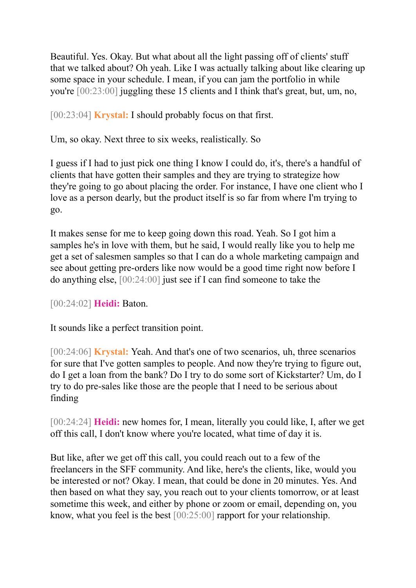Beautiful. Yes. Okay. But what about all the light passing off of clients' stuff that we talked about? Oh yeah. Like I was actually talking about like clearing up some space in your schedule. I mean, if you can jam the portfolio in while you're [00:23:00] juggling these 15 clients and I think that's great, but, um, no,

[00:23:04] **Krystal:** I should probably focus on that first.

Um, so okay. Next three to six weeks, realistically. So

I guess if I had to just pick one thing I know I could do, it's, there's a handful of clients that have gotten their samples and they are trying to strategize how they're going to go about placing the order. For instance, I have one client who I love as a person dearly, but the product itself is so far from where I'm trying to go.

It makes sense for me to keep going down this road. Yeah. So I got him a samples he's in love with them, but he said, I would really like you to help me get a set of salesmen samples so that I can do a whole marketing campaign and see about getting pre-orders like now would be a good time right now before I do anything else, [00:24:00] just see if I can find someone to take the

[00:24:02] **Heidi:** Baton.

It sounds like a perfect transition point.

[00:24:06] **Krystal:** Yeah. And that's one of two scenarios, uh, three scenarios for sure that I've gotten samples to people. And now they're trying to figure out, do I get a loan from the bank? Do I try to do some sort of Kickstarter? Um, do I try to do pre-sales like those are the people that I need to be serious about finding

[00:24:24] **Heidi:** new homes for, I mean, literally you could like, I, after we get off this call, I don't know where you're located, what time of day it is.

But like, after we get off this call, you could reach out to a few of the freelancers in the SFF community. And like, here's the clients, like, would you be interested or not? Okay. I mean, that could be done in 20 minutes. Yes. And then based on what they say, you reach out to your clients tomorrow, or at least sometime this week, and either by phone or zoom or email, depending on, you know, what you feel is the best [00:25:00] rapport for your relationship.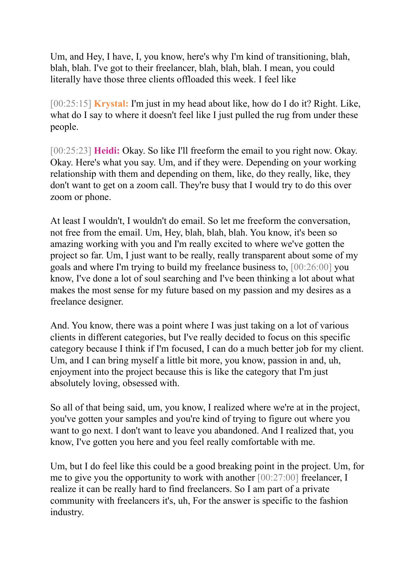Um, and Hey, I have, I, you know, here's why I'm kind of transitioning, blah, blah, blah. I've got to their freelancer, blah, blah, blah. I mean, you could literally have those three clients offloaded this week. I feel like

[00:25:15] **Krystal:** I'm just in my head about like, how do I do it? Right. Like, what do I say to where it doesn't feel like I just pulled the rug from under these people.

[00:25:23] **Heidi:** Okay. So like I'll freeform the email to you right now. Okay. Okay. Here's what you say. Um, and if they were. Depending on your working relationship with them and depending on them, like, do they really, like, they don't want to get on a zoom call. They're busy that I would try to do this over zoom or phone.

At least I wouldn't, I wouldn't do email. So let me freeform the conversation, not free from the email. Um, Hey, blah, blah, blah. You know, it's been so amazing working with you and I'm really excited to where we've gotten the project so far. Um, I just want to be really, really transparent about some of my goals and where I'm trying to build my freelance business to, [00:26:00] you know, I've done a lot of soul searching and I've been thinking a lot about what makes the most sense for my future based on my passion and my desires as a freelance designer.

And. You know, there was a point where I was just taking on a lot of various clients in different categories, but I've really decided to focus on this specific category because I think if I'm focused, I can do a much better job for my client. Um, and I can bring myself a little bit more, you know, passion in and, uh, enjoyment into the project because this is like the category that I'm just absolutely loving, obsessed with.

So all of that being said, um, you know, I realized where we're at in the project, you've gotten your samples and you're kind of trying to figure out where you want to go next. I don't want to leave you abandoned. And I realized that, you know, I've gotten you here and you feel really comfortable with me.

Um, but I do feel like this could be a good breaking point in the project. Um, for me to give you the opportunity to work with another [00:27:00] freelancer, I realize it can be really hard to find freelancers. So I am part of a private community with freelancers it's, uh, For the answer is specific to the fashion industry.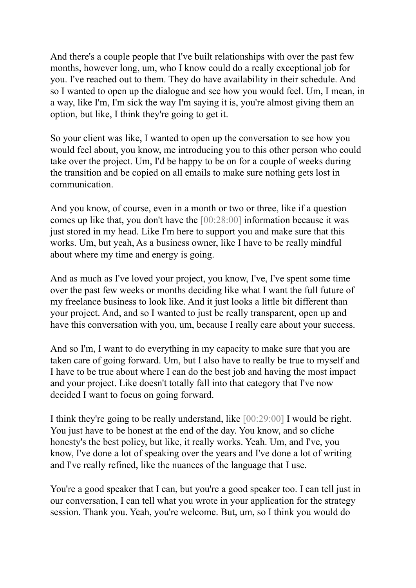And there's a couple people that I've built relationships with over the past few months, however long, um, who I know could do a really exceptional job for you. I've reached out to them. They do have availability in their schedule. And so I wanted to open up the dialogue and see how you would feel. Um, I mean, in a way, like I'm, I'm sick the way I'm saying it is, you're almost giving them an option, but like, I think they're going to get it.

So your client was like, I wanted to open up the conversation to see how you would feel about, you know, me introducing you to this other person who could take over the project. Um, I'd be happy to be on for a couple of weeks during the transition and be copied on all emails to make sure nothing gets lost in communication.

And you know, of course, even in a month or two or three, like if a question comes up like that, you don't have the [00:28:00] information because it was just stored in my head. Like I'm here to support you and make sure that this works. Um, but yeah, As a business owner, like I have to be really mindful about where my time and energy is going.

And as much as I've loved your project, you know, I've, I've spent some time over the past few weeks or months deciding like what I want the full future of my freelance business to look like. And it just looks a little bit different than your project. And, and so I wanted to just be really transparent, open up and have this conversation with you, um, because I really care about your success.

And so I'm, I want to do everything in my capacity to make sure that you are taken care of going forward. Um, but I also have to really be true to myself and I have to be true about where I can do the best job and having the most impact and your project. Like doesn't totally fall into that category that I've now decided I want to focus on going forward.

I think they're going to be really understand, like [00:29:00] I would be right. You just have to be honest at the end of the day. You know, and so cliche honesty's the best policy, but like, it really works. Yeah. Um, and I've, you know, I've done a lot of speaking over the years and I've done a lot of writing and I've really refined, like the nuances of the language that I use.

You're a good speaker that I can, but you're a good speaker too. I can tell just in our conversation, I can tell what you wrote in your application for the strategy session. Thank you. Yeah, you're welcome. But, um, so I think you would do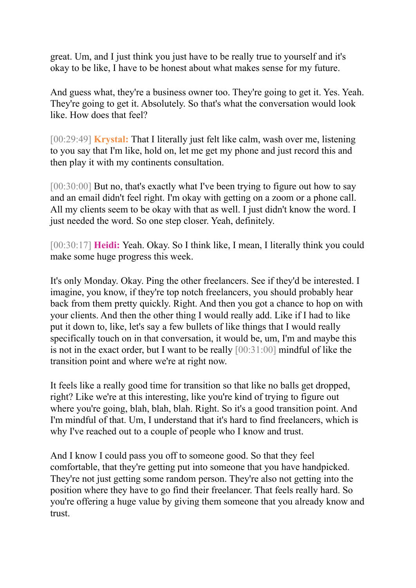great. Um, and I just think you just have to be really true to yourself and it's okay to be like, I have to be honest about what makes sense for my future.

And guess what, they're a business owner too. They're going to get it. Yes. Yeah. They're going to get it. Absolutely. So that's what the conversation would look like. How does that feel?

[00:29:49] **Krystal:** That I literally just felt like calm, wash over me, listening to you say that I'm like, hold on, let me get my phone and just record this and then play it with my continents consultation.

[00:30:00] But no, that's exactly what I've been trying to figure out how to say and an email didn't feel right. I'm okay with getting on a zoom or a phone call. All my clients seem to be okay with that as well. I just didn't know the word. I just needed the word. So one step closer. Yeah, definitely.

[00:30:17] **Heidi:** Yeah. Okay. So I think like, I mean, I literally think you could make some huge progress this week.

It's only Monday. Okay. Ping the other freelancers. See if they'd be interested. I imagine, you know, if they're top notch freelancers, you should probably hear back from them pretty quickly. Right. And then you got a chance to hop on with your clients. And then the other thing I would really add. Like if I had to like put it down to, like, let's say a few bullets of like things that I would really specifically touch on in that conversation, it would be, um, I'm and maybe this is not in the exact order, but I want to be really [00:31:00] mindful of like the transition point and where we're at right now.

It feels like a really good time for transition so that like no balls get dropped, right? Like we're at this interesting, like you're kind of trying to figure out where you're going, blah, blah, blah. Right. So it's a good transition point. And I'm mindful of that. Um, I understand that it's hard to find freelancers, which is why I've reached out to a couple of people who I know and trust.

And I know I could pass you off to someone good. So that they feel comfortable, that they're getting put into someone that you have handpicked. They're not just getting some random person. They're also not getting into the position where they have to go find their freelancer. That feels really hard. So you're offering a huge value by giving them someone that you already know and trust.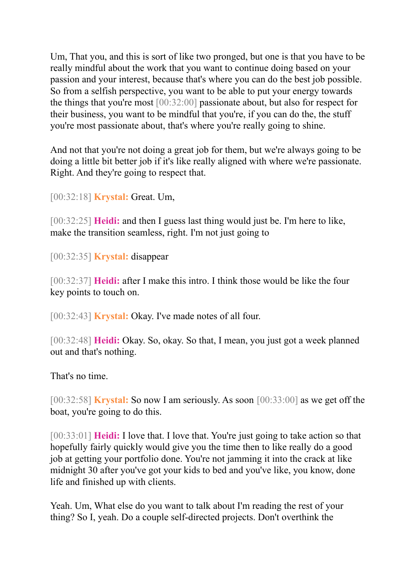Um, That you, and this is sort of like two pronged, but one is that you have to be really mindful about the work that you want to continue doing based on your passion and your interest, because that's where you can do the best job possible. So from a selfish perspective, you want to be able to put your energy towards the things that you're most [00:32:00] passionate about, but also for respect for their business, you want to be mindful that you're, if you can do the, the stuff you're most passionate about, that's where you're really going to shine.

And not that you're not doing a great job for them, but we're always going to be doing a little bit better job if it's like really aligned with where we're passionate. Right. And they're going to respect that.

[00:32:18] **Krystal:** Great. Um,

[00:32:25] **Heidi:** and then I guess last thing would just be. I'm here to like, make the transition seamless, right. I'm not just going to

[00:32:35] **Krystal:** disappear

[00:32:37] **Heidi:** after I make this intro. I think those would be like the four key points to touch on.

[00:32:43] **Krystal:** Okay. I've made notes of all four.

[00:32:48] **Heidi:** Okay. So, okay. So that, I mean, you just got a week planned out and that's nothing.

That's no time.

[00:32:58] **Krystal:** So now I am seriously. As soon [00:33:00] as we get off the boat, you're going to do this.

[00:33:01] **Heidi:** I love that. I love that. You're just going to take action so that hopefully fairly quickly would give you the time then to like really do a good job at getting your portfolio done. You're not jamming it into the crack at like midnight 30 after you've got your kids to bed and you've like, you know, done life and finished up with clients.

Yeah. Um, What else do you want to talk about I'm reading the rest of your thing? So I, yeah. Do a couple self-directed projects. Don't overthink the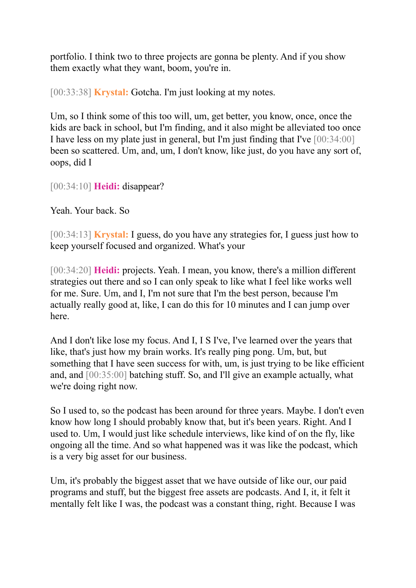portfolio. I think two to three projects are gonna be plenty. And if you show them exactly what they want, boom, you're in.

[00:33:38] **Krystal:** Gotcha. I'm just looking at my notes.

Um, so I think some of this too will, um, get better, you know, once, once the kids are back in school, but I'm finding, and it also might be alleviated too once I have less on my plate just in general, but I'm just finding that I've [00:34:00] been so scattered. Um, and, um, I don't know, like just, do you have any sort of, oops, did I

[00:34:10] **Heidi:** disappear?

Yeah. Your back. So

[00:34:13] **Krystal:** I guess, do you have any strategies for, I guess just how to keep yourself focused and organized. What's your

[00:34:20] **Heidi:** projects. Yeah. I mean, you know, there's a million different strategies out there and so I can only speak to like what I feel like works well for me. Sure. Um, and I, I'm not sure that I'm the best person, because I'm actually really good at, like, I can do this for 10 minutes and I can jump over here.

And I don't like lose my focus. And I, I S I've, I've learned over the years that like, that's just how my brain works. It's really ping pong. Um, but, but something that I have seen success for with, um, is just trying to be like efficient and, and [00:35:00] batching stuff. So, and I'll give an example actually, what we're doing right now.

So I used to, so the podcast has been around for three years. Maybe. I don't even know how long I should probably know that, but it's been years. Right. And I used to. Um, I would just like schedule interviews, like kind of on the fly, like ongoing all the time. And so what happened was it was like the podcast, which is a very big asset for our business.

Um, it's probably the biggest asset that we have outside of like our, our paid programs and stuff, but the biggest free assets are podcasts. And I, it, it felt it mentally felt like I was, the podcast was a constant thing, right. Because I was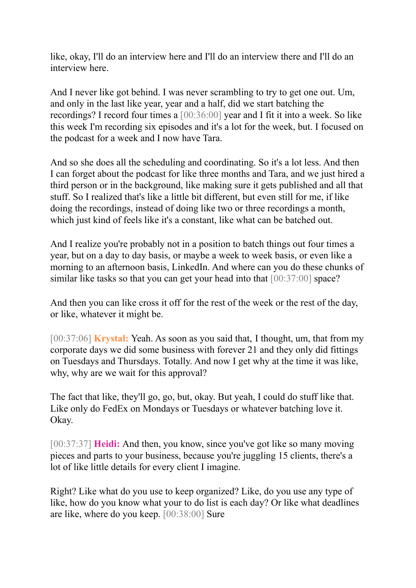like, okay, I'll do an interview here and I'll do an interview there and I'll do an interview here.

And I never like got behind. I was never scrambling to try to get one out. Um, and only in the last like year, year and a half, did we start batching the recordings? I record four times a [00:36:00] year and I fit it into a week. So like this week I'm recording six episodes and it's a lot for the week, but. I focused on the podcast for a week and I now have Tara.

And so she does all the scheduling and coordinating. So it's a lot less. And then I can forget about the podcast for like three months and Tara, and we just hired a third person or in the background, like making sure it gets published and all that stuff. So I realized that's like a little bit different, but even still for me, if like doing the recordings, instead of doing like two or three recordings a month, which just kind of feels like it's a constant, like what can be batched out.

And I realize you're probably not in a position to batch things out four times a year, but on a day to day basis, or maybe a week to week basis, or even like a morning to an afternoon basis, LinkedIn. And where can you do these chunks of similar like tasks so that you can get your head into that [00:37:00] space?

And then you can like cross it off for the rest of the week or the rest of the day, or like, whatever it might be.

[00:37:06] **Krystal:** Yeah. As soon as you said that, I thought, um, that from my corporate days we did some business with forever 21 and they only did fittings on Tuesdays and Thursdays. Totally. And now I get why at the time it was like, why, why are we wait for this approval?

The fact that like, they'll go, go, but, okay. But yeah, I could do stuff like that. Like only do FedEx on Mondays or Tuesdays or whatever batching love it. Okay.

[00:37:37] **Heidi:** And then, you know, since you've got like so many moving pieces and parts to your business, because you're juggling 15 clients, there's a lot of like little details for every client I imagine.

Right? Like what do you use to keep organized? Like, do you use any type of like, how do you know what your to do list is each day? Or like what deadlines are like, where do you keep. [00:38:00] Sure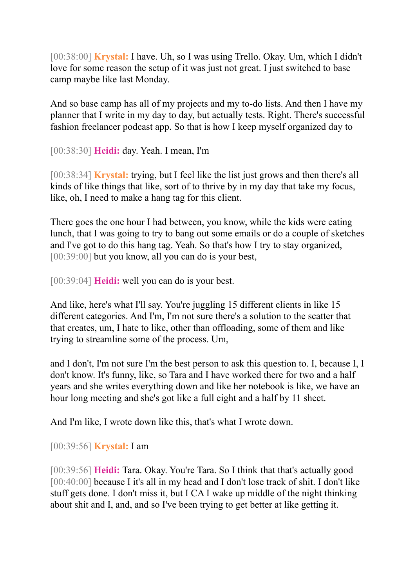[00:38:00] **Krystal:** I have. Uh, so I was using Trello. Okay. Um, which I didn't love for some reason the setup of it was just not great. I just switched to base camp maybe like last Monday.

And so base camp has all of my projects and my to-do lists. And then I have my planner that I write in my day to day, but actually tests. Right. There's successful fashion freelancer podcast app. So that is how I keep myself organized day to

[00:38:30] **Heidi:** day. Yeah. I mean, I'm

[00:38:34] **Krystal:** trying, but I feel like the list just grows and then there's all kinds of like things that like, sort of to thrive by in my day that take my focus, like, oh, I need to make a hang tag for this client.

There goes the one hour I had between, you know, while the kids were eating lunch, that I was going to try to bang out some emails or do a couple of sketches and I've got to do this hang tag. Yeah. So that's how I try to stay organized, [00:39:00] but you know, all you can do is your best,

[00:39:04] **Heidi:** well you can do is your best.

And like, here's what I'll say. You're juggling 15 different clients in like 15 different categories. And I'm, I'm not sure there's a solution to the scatter that that creates, um, I hate to like, other than offloading, some of them and like trying to streamline some of the process. Um,

and I don't, I'm not sure I'm the best person to ask this question to. I, because I, I don't know. It's funny, like, so Tara and I have worked there for two and a half years and she writes everything down and like her notebook is like, we have an hour long meeting and she's got like a full eight and a half by 11 sheet.

And I'm like, I wrote down like this, that's what I wrote down.

[00:39:56] **Krystal:** I am

[00:39:56] **Heidi:** Tara. Okay. You're Tara. So I think that that's actually good [00:40:00] because I it's all in my head and I don't lose track of shit. I don't like stuff gets done. I don't miss it, but I CA I wake up middle of the night thinking about shit and I, and, and so I've been trying to get better at like getting it.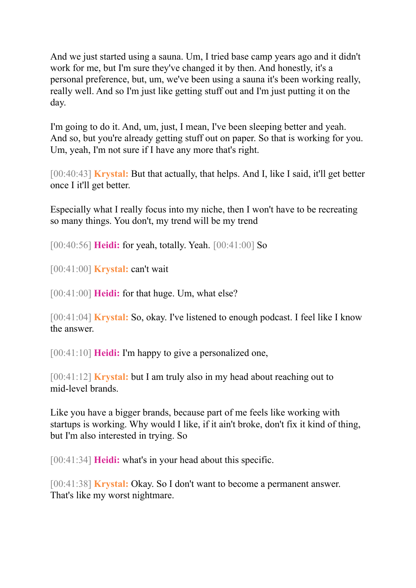And we just started using a sauna. Um, I tried base camp years ago and it didn't work for me, but I'm sure they've changed it by then. And honestly, it's a personal preference, but, um, we've been using a sauna it's been working really, really well. And so I'm just like getting stuff out and I'm just putting it on the day.

I'm going to do it. And, um, just, I mean, I've been sleeping better and yeah. And so, but you're already getting stuff out on paper. So that is working for you. Um, yeah, I'm not sure if I have any more that's right.

[00:40:43] **Krystal:** But that actually, that helps. And I, like I said, it'll get better once I it'll get better.

Especially what I really focus into my niche, then I won't have to be recreating so many things. You don't, my trend will be my trend

[00:40:56] **Heidi:** for yeah, totally. Yeah. [00:41:00] So

[00:41:00] **Krystal:** can't wait

[00:41:00] **Heidi:** for that huge. Um, what else?

[00:41:04] **Krystal:** So, okay. I've listened to enough podcast. I feel like I know the answer.

[00:41:10] **Heidi:** I'm happy to give a personalized one,

[00:41:12] **Krystal:** but I am truly also in my head about reaching out to mid-level brands.

Like you have a bigger brands, because part of me feels like working with startups is working. Why would I like, if it ain't broke, don't fix it kind of thing, but I'm also interested in trying. So

[00:41:34] **Heidi:** what's in your head about this specific.

[00:41:38] **Krystal:** Okay. So I don't want to become a permanent answer. That's like my worst nightmare.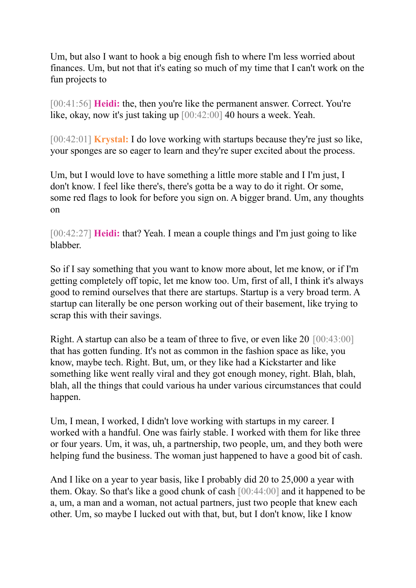Um, but also I want to hook a big enough fish to where I'm less worried about finances. Um, but not that it's eating so much of my time that I can't work on the fun projects to

[00:41:56] **Heidi:** the, then you're like the permanent answer. Correct. You're like, okay, now it's just taking up [00:42:00] 40 hours a week. Yeah.

[00:42:01] **Krystal:** I do love working with startups because they're just so like, your sponges are so eager to learn and they're super excited about the process.

Um, but I would love to have something a little more stable and I I'm just, I don't know. I feel like there's, there's gotta be a way to do it right. Or some, some red flags to look for before you sign on. A bigger brand. Um, any thoughts on

[00:42:27] **Heidi:** that? Yeah. I mean a couple things and I'm just going to like blabber.

So if I say something that you want to know more about, let me know, or if I'm getting completely off topic, let me know too. Um, first of all, I think it's always good to remind ourselves that there are startups. Startup is a very broad term. A startup can literally be one person working out of their basement, like trying to scrap this with their savings.

Right. A startup can also be a team of three to five, or even like 20 [00:43:00] that has gotten funding. It's not as common in the fashion space as like, you know, maybe tech. Right. But, um, or they like had a Kickstarter and like something like went really viral and they got enough money, right. Blah, blah, blah, all the things that could various ha under various circumstances that could happen.

Um, I mean, I worked, I didn't love working with startups in my career. I worked with a handful. One was fairly stable. I worked with them for like three or four years. Um, it was, uh, a partnership, two people, um, and they both were helping fund the business. The woman just happened to have a good bit of cash.

And I like on a year to year basis, like I probably did 20 to 25,000 a year with them. Okay. So that's like a good chunk of cash [00:44:00] and it happened to be a, um, a man and a woman, not actual partners, just two people that knew each other. Um, so maybe I lucked out with that, but, but I don't know, like I know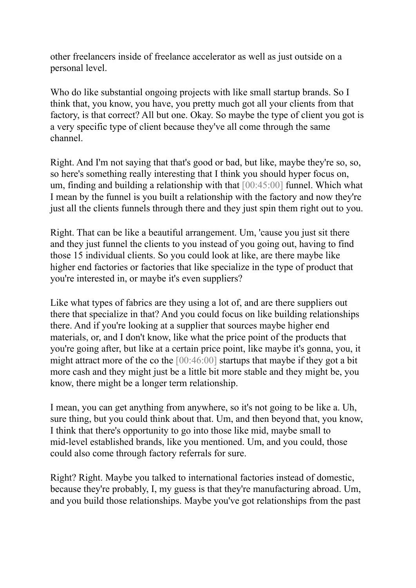other freelancers inside of freelance accelerator as well as just outside on a personal level.

Who do like substantial ongoing projects with like small startup brands. So I think that, you know, you have, you pretty much got all your clients from that factory, is that correct? All but one. Okay. So maybe the type of client you got is a very specific type of client because they've all come through the same channel.

Right. And I'm not saying that that's good or bad, but like, maybe they're so, so, so here's something really interesting that I think you should hyper focus on, um, finding and building a relationship with that [00:45:00] funnel. Which what I mean by the funnel is you built a relationship with the factory and now they're just all the clients funnels through there and they just spin them right out to you.

Right. That can be like a beautiful arrangement. Um, 'cause you just sit there and they just funnel the clients to you instead of you going out, having to find those 15 individual clients. So you could look at like, are there maybe like higher end factories or factories that like specialize in the type of product that you're interested in, or maybe it's even suppliers?

Like what types of fabrics are they using a lot of, and are there suppliers out there that specialize in that? And you could focus on like building relationships there. And if you're looking at a supplier that sources maybe higher end materials, or, and I don't know, like what the price point of the products that you're going after, but like at a certain price point, like maybe it's gonna, you, it might attract more of the co the [00:46:00] startups that maybe if they got a bit more cash and they might just be a little bit more stable and they might be, you know, there might be a longer term relationship.

I mean, you can get anything from anywhere, so it's not going to be like a. Uh, sure thing, but you could think about that. Um, and then beyond that, you know, I think that there's opportunity to go into those like mid, maybe small to mid-level established brands, like you mentioned. Um, and you could, those could also come through factory referrals for sure.

Right? Right. Maybe you talked to international factories instead of domestic, because they're probably, I, my guess is that they're manufacturing abroad. Um, and you build those relationships. Maybe you've got relationships from the past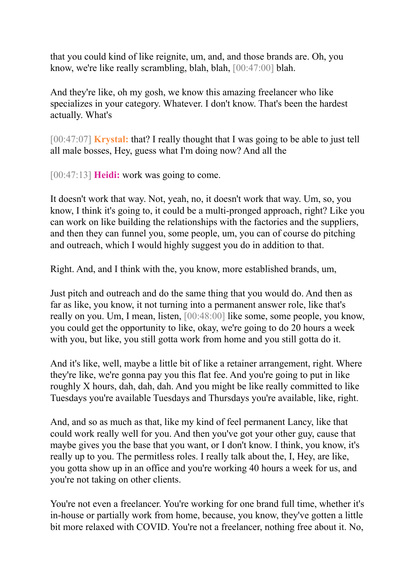that you could kind of like reignite, um, and, and those brands are. Oh, you know, we're like really scrambling, blah, blah, [00:47:00] blah.

And they're like, oh my gosh, we know this amazing freelancer who like specializes in your category. Whatever. I don't know. That's been the hardest actually. What's

[00:47:07] **Krystal:** that? I really thought that I was going to be able to just tell all male bosses, Hey, guess what I'm doing now? And all the

[00:47:13] **Heidi:** work was going to come.

It doesn't work that way. Not, yeah, no, it doesn't work that way. Um, so, you know, I think it's going to, it could be a multi-pronged approach, right? Like you can work on like building the relationships with the factories and the suppliers, and then they can funnel you, some people, um, you can of course do pitching and outreach, which I would highly suggest you do in addition to that.

Right. And, and I think with the, you know, more established brands, um,

Just pitch and outreach and do the same thing that you would do. And then as far as like, you know, it not turning into a permanent answer role, like that's really on you. Um, I mean, listen, [00:48:00] like some, some people, you know, you could get the opportunity to like, okay, we're going to do 20 hours a week with you, but like, you still gotta work from home and you still gotta do it.

And it's like, well, maybe a little bit of like a retainer arrangement, right. Where they're like, we're gonna pay you this flat fee. And you're going to put in like roughly X hours, dah, dah, dah. And you might be like really committed to like Tuesdays you're available Tuesdays and Thursdays you're available, like, right.

And, and so as much as that, like my kind of feel permanent Lancy, like that could work really well for you. And then you've got your other guy, cause that maybe gives you the base that you want, or I don't know. I think, you know, it's really up to you. The permitless roles. I really talk about the, I, Hey, are like, you gotta show up in an office and you're working 40 hours a week for us, and you're not taking on other clients.

You're not even a freelancer. You're working for one brand full time, whether it's in-house or partially work from home, because, you know, they've gotten a little bit more relaxed with COVID. You're not a freelancer, nothing free about it. No,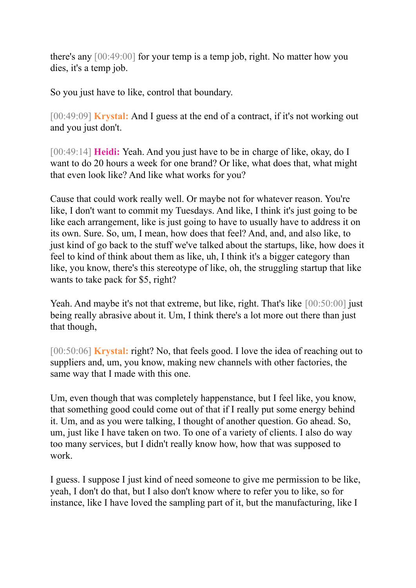there's any [00:49:00] for your temp is a temp job, right. No matter how you dies, it's a temp job.

So you just have to like, control that boundary.

[00:49:09] **Krystal:** And I guess at the end of a contract, if it's not working out and you just don't.

[00:49:14] **Heidi:** Yeah. And you just have to be in charge of like, okay, do I want to do 20 hours a week for one brand? Or like, what does that, what might that even look like? And like what works for you?

Cause that could work really well. Or maybe not for whatever reason. You're like, I don't want to commit my Tuesdays. And like, I think it's just going to be like each arrangement, like is just going to have to usually have to address it on its own. Sure. So, um, I mean, how does that feel? And, and, and also like, to just kind of go back to the stuff we've talked about the startups, like, how does it feel to kind of think about them as like, uh, I think it's a bigger category than like, you know, there's this stereotype of like, oh, the struggling startup that like wants to take pack for \$5, right?

Yeah. And maybe it's not that extreme, but like, right. That's like  $[00:50:00]$  just being really abrasive about it. Um, I think there's a lot more out there than just that though,

[00:50:06] **Krystal:** right? No, that feels good. I love the idea of reaching out to suppliers and, um, you know, making new channels with other factories, the same way that I made with this one.

Um, even though that was completely happenstance, but I feel like, you know, that something good could come out of that if I really put some energy behind it. Um, and as you were talking, I thought of another question. Go ahead. So, um, just like I have taken on two. To one of a variety of clients. I also do way too many services, but I didn't really know how, how that was supposed to work.

I guess. I suppose I just kind of need someone to give me permission to be like, yeah, I don't do that, but I also don't know where to refer you to like, so for instance, like I have loved the sampling part of it, but the manufacturing, like I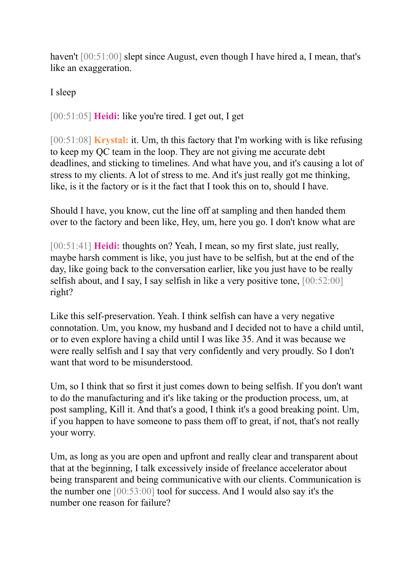haven't [00:51:00] slept since August, even though I have hired a, I mean, that's like an exaggeration.

I sleep

[00:51:05] **Heidi:** like you're tired. I get out, I get

[00:51:08] **Krystal:** it. Um, th this factory that I'm working with is like refusing to keep my QC team in the loop. They are not giving me accurate debt deadlines, and sticking to timelines. And what have you, and it's causing a lot of stress to my clients. A lot of stress to me. And it's just really got me thinking, like, is it the factory or is it the fact that I took this on to, should I have.

Should I have, you know, cut the line off at sampling and then handed them over to the factory and been like, Hey, um, here you go. I don't know what are

[00:51:41] **Heidi:** thoughts on? Yeah, I mean, so my first slate, just really, maybe harsh comment is like, you just have to be selfish, but at the end of the day, like going back to the conversation earlier, like you just have to be really selfish about, and I say, I say selfish in like a very positive tone, [00:52:00] right?

Like this self-preservation. Yeah. I think selfish can have a very negative connotation. Um, you know, my husband and I decided not to have a child until, or to even explore having a child until I was like 35. And it was because we were really selfish and I say that very confidently and very proudly. So I don't want that word to be misunderstood.

Um, so I think that so first it just comes down to being selfish. If you don't want to do the manufacturing and it's like taking or the production process, um, at post sampling, Kill it. And that's a good, I think it's a good breaking point. Um, if you happen to have someone to pass them off to great, if not, that's not really your worry.

Um, as long as you are open and upfront and really clear and transparent about that at the beginning, I talk excessively inside of freelance accelerator about being transparent and being communicative with our clients. Communication is the number one [00:53:00] tool for success. And I would also say it's the number one reason for failure?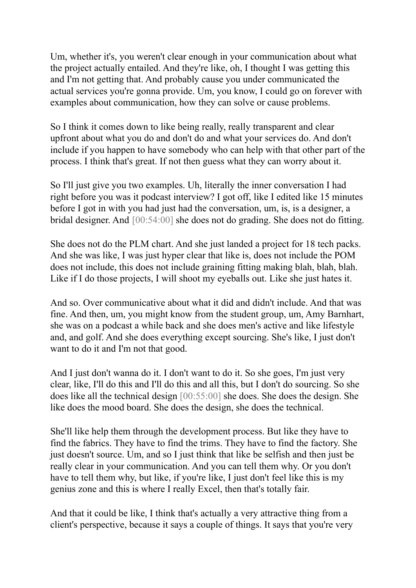Um, whether it's, you weren't clear enough in your communication about what the project actually entailed. And they're like, oh, I thought I was getting this and I'm not getting that. And probably cause you under communicated the actual services you're gonna provide. Um, you know, I could go on forever with examples about communication, how they can solve or cause problems.

So I think it comes down to like being really, really transparent and clear upfront about what you do and don't do and what your services do. And don't include if you happen to have somebody who can help with that other part of the process. I think that's great. If not then guess what they can worry about it.

So I'll just give you two examples. Uh, literally the inner conversation I had right before you was it podcast interview? I got off, like I edited like 15 minutes before I got in with you had just had the conversation, um, is, is a designer, a bridal designer. And [00:54:00] she does not do grading. She does not do fitting.

She does not do the PLM chart. And she just landed a project for 18 tech packs. And she was like, I was just hyper clear that like is, does not include the POM does not include, this does not include graining fitting making blah, blah, blah. Like if I do those projects, I will shoot my eyeballs out. Like she just hates it.

And so. Over communicative about what it did and didn't include. And that was fine. And then, um, you might know from the student group, um, Amy Barnhart, she was on a podcast a while back and she does men's active and like lifestyle and, and golf. And she does everything except sourcing. She's like, I just don't want to do it and I'm not that good.

And I just don't wanna do it. I don't want to do it. So she goes, I'm just very clear, like, I'll do this and I'll do this and all this, but I don't do sourcing. So she does like all the technical design [00:55:00] she does. She does the design. She like does the mood board. She does the design, she does the technical.

She'll like help them through the development process. But like they have to find the fabrics. They have to find the trims. They have to find the factory. She just doesn't source. Um, and so I just think that like be selfish and then just be really clear in your communication. And you can tell them why. Or you don't have to tell them why, but like, if you're like, I just don't feel like this is my genius zone and this is where I really Excel, then that's totally fair.

And that it could be like, I think that's actually a very attractive thing from a client's perspective, because it says a couple of things. It says that you're very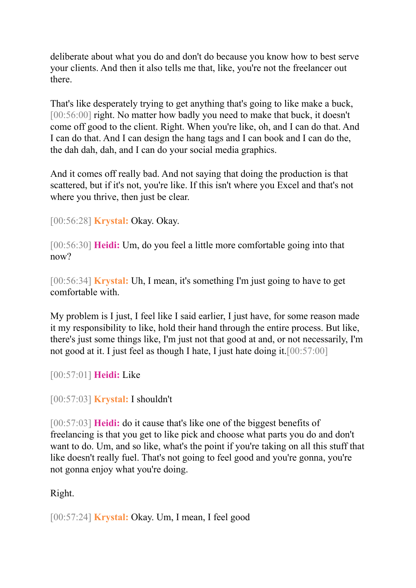deliberate about what you do and don't do because you know how to best serve your clients. And then it also tells me that, like, you're not the freelancer out there.

That's like desperately trying to get anything that's going to like make a buck, [00:56:00] right. No matter how badly you need to make that buck, it doesn't come off good to the client. Right. When you're like, oh, and I can do that. And I can do that. And I can design the hang tags and I can book and I can do the, the dah dah, dah, and I can do your social media graphics.

And it comes off really bad. And not saying that doing the production is that scattered, but if it's not, you're like. If this isn't where you Excel and that's not where you thrive, then just be clear.

[00:56:28] **Krystal:** Okay. Okay.

[00:56:30] **Heidi:** Um, do you feel a little more comfortable going into that now?

[00:56:34] **Krystal:** Uh, I mean, it's something I'm just going to have to get comfortable with.

My problem is I just, I feel like I said earlier, I just have, for some reason made it my responsibility to like, hold their hand through the entire process. But like, there's just some things like, I'm just not that good at and, or not necessarily, I'm not good at it. I just feel as though I hate, I just hate doing it.[00:57:00]

[00:57:01] **Heidi:** Like

[00:57:03] **Krystal:** I shouldn't

[00:57:03] **Heidi:** do it cause that's like one of the biggest benefits of freelancing is that you get to like pick and choose what parts you do and don't want to do. Um, and so like, what's the point if you're taking on all this stuff that like doesn't really fuel. That's not going to feel good and you're gonna, you're not gonna enjoy what you're doing.

# Right.

[00:57:24] **Krystal:** Okay. Um, I mean, I feel good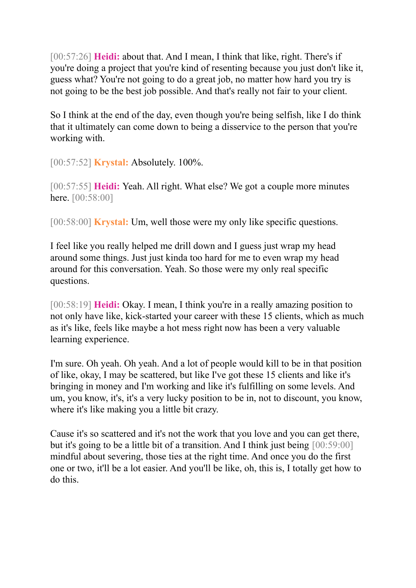[00:57:26] **Heidi:** about that. And I mean, I think that like, right. There's if you're doing a project that you're kind of resenting because you just don't like it, guess what? You're not going to do a great job, no matter how hard you try is not going to be the best job possible. And that's really not fair to your client.

So I think at the end of the day, even though you're being selfish, like I do think that it ultimately can come down to being a disservice to the person that you're working with.

[00:57:52] **Krystal:** Absolutely. 100%.

[00:57:55] **Heidi:** Yeah. All right. What else? We got a couple more minutes here. [00:58:00]

[00:58:00] **Krystal:** Um, well those were my only like specific questions.

I feel like you really helped me drill down and I guess just wrap my head around some things. Just just kinda too hard for me to even wrap my head around for this conversation. Yeah. So those were my only real specific questions.

[00:58:19] **Heidi:** Okay. I mean, I think you're in a really amazing position to not only have like, kick-started your career with these 15 clients, which as much as it's like, feels like maybe a hot mess right now has been a very valuable learning experience.

I'm sure. Oh yeah. Oh yeah. And a lot of people would kill to be in that position of like, okay, I may be scattered, but like I've got these 15 clients and like it's bringing in money and I'm working and like it's fulfilling on some levels. And um, you know, it's, it's a very lucky position to be in, not to discount, you know, where it's like making you a little bit crazy.

Cause it's so scattered and it's not the work that you love and you can get there, but it's going to be a little bit of a transition. And I think just being [00:59:00] mindful about severing, those ties at the right time. And once you do the first one or two, it'll be a lot easier. And you'll be like, oh, this is, I totally get how to do this.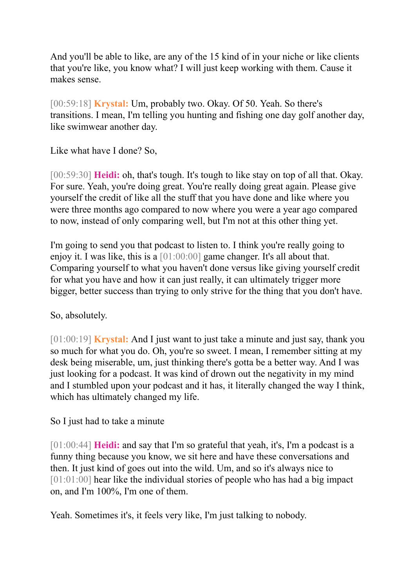And you'll be able to like, are any of the 15 kind of in your niche or like clients that you're like, you know what? I will just keep working with them. Cause it makes sense.

[00:59:18] **Krystal:** Um, probably two. Okay. Of 50. Yeah. So there's transitions. I mean, I'm telling you hunting and fishing one day golf another day, like swimwear another day.

Like what have I done? So,

[00:59:30] **Heidi:** oh, that's tough. It's tough to like stay on top of all that. Okay. For sure. Yeah, you're doing great. You're really doing great again. Please give yourself the credit of like all the stuff that you have done and like where you were three months ago compared to now where you were a year ago compared to now, instead of only comparing well, but I'm not at this other thing yet.

I'm going to send you that podcast to listen to. I think you're really going to enjoy it. I was like, this is a [01:00:00] game changer. It's all about that. Comparing yourself to what you haven't done versus like giving yourself credit for what you have and how it can just really, it can ultimately trigger more bigger, better success than trying to only strive for the thing that you don't have.

# So, absolutely.

[01:00:19] **Krystal:** And I just want to just take a minute and just say, thank you so much for what you do. Oh, you're so sweet. I mean, I remember sitting at my desk being miserable, um, just thinking there's gotta be a better way. And I was just looking for a podcast. It was kind of drown out the negativity in my mind and I stumbled upon your podcast and it has, it literally changed the way I think, which has ultimately changed my life.

# So I just had to take a minute

[01:00:44] **Heidi:** and say that I'm so grateful that yeah, it's, I'm a podcast is a funny thing because you know, we sit here and have these conversations and then. It just kind of goes out into the wild. Um, and so it's always nice to [01:01:00] hear like the individual stories of people who has had a big impact on, and I'm 100%, I'm one of them.

Yeah. Sometimes it's, it feels very like, I'm just talking to nobody.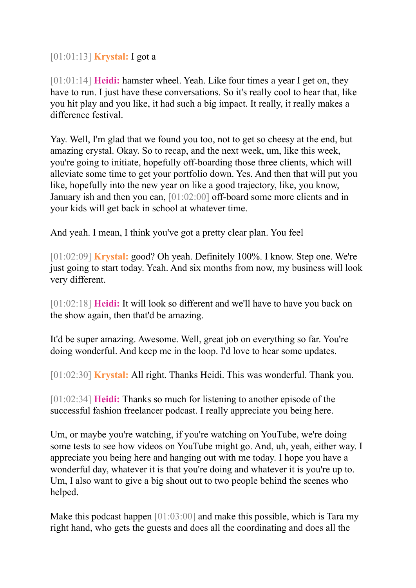[01:01:13] **Krystal:** I got a

[01:01:14] **Heidi:** hamster wheel. Yeah. Like four times a year I get on, they have to run. I just have these conversations. So it's really cool to hear that, like you hit play and you like, it had such a big impact. It really, it really makes a difference festival.

Yay. Well, I'm glad that we found you too, not to get so cheesy at the end, but amazing crystal. Okay. So to recap, and the next week, um, like this week, you're going to initiate, hopefully off-boarding those three clients, which will alleviate some time to get your portfolio down. Yes. And then that will put you like, hopefully into the new year on like a good trajectory, like, you know, January ish and then you can, [01:02:00] off-board some more clients and in your kids will get back in school at whatever time.

And yeah. I mean, I think you've got a pretty clear plan. You feel

[01:02:09] **Krystal:** good? Oh yeah. Definitely 100%. I know. Step one. We're just going to start today. Yeah. And six months from now, my business will look very different.

[01:02:18] **Heidi:** It will look so different and we'll have to have you back on the show again, then that'd be amazing.

It'd be super amazing. Awesome. Well, great job on everything so far. You're doing wonderful. And keep me in the loop. I'd love to hear some updates.

[01:02:30] **Krystal:** All right. Thanks Heidi. This was wonderful. Thank you.

[01:02:34] **Heidi:** Thanks so much for listening to another episode of the successful fashion freelancer podcast. I really appreciate you being here.

Um, or maybe you're watching, if you're watching on YouTube, we're doing some tests to see how videos on YouTube might go. And, uh, yeah, either way. I appreciate you being here and hanging out with me today. I hope you have a wonderful day, whatever it is that you're doing and whatever it is you're up to. Um, I also want to give a big shout out to two people behind the scenes who helped.

Make this podcast happen [01:03:00] and make this possible, which is Tara my right hand, who gets the guests and does all the coordinating and does all the